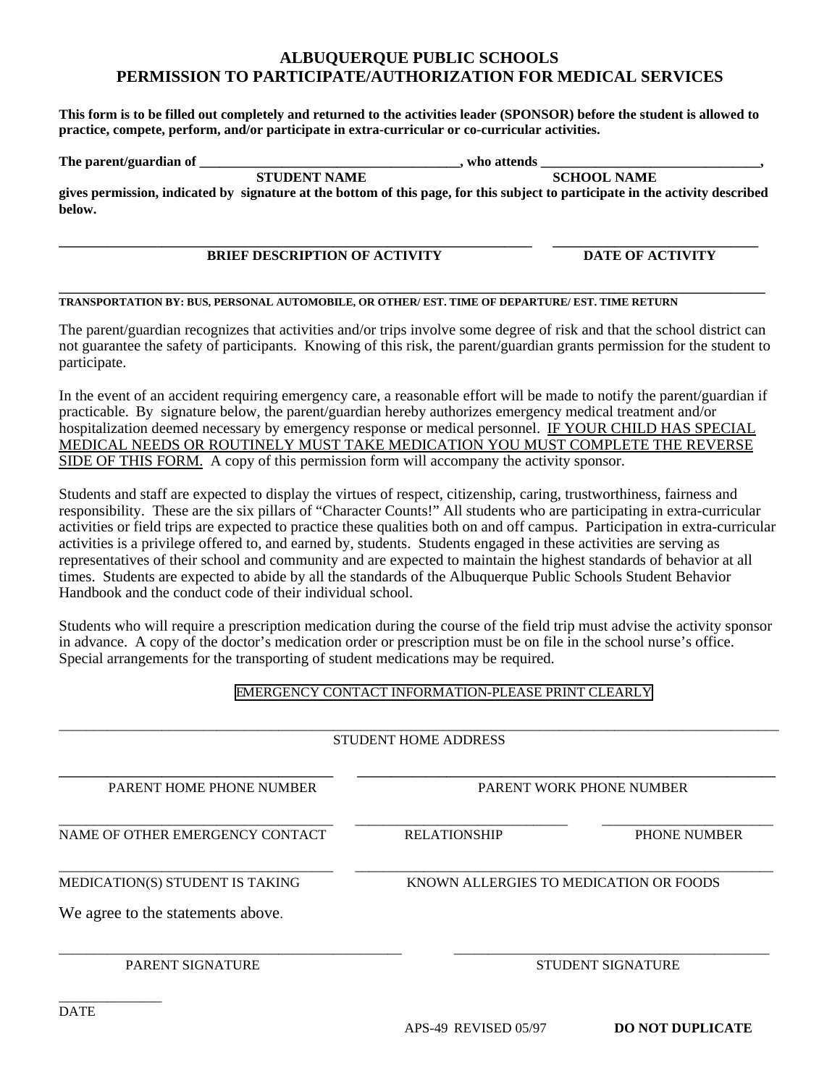# **ALBUQUERQUE PUBLIC SCHOOLS PERMISSION TO PARTICIPATE/AUTHORIZATION FOR MEDICAL SERVICES**

**This form is to be filled out completely and returned to the activities leader (SPONSOR) before the student is allowed to practice, compete, perform, and/or participate in extra-curricular or co-curricular activities.**

| The parent/guardian of |             | who attends        |  |
|------------------------|-------------|--------------------|--|
|                        | TUDENT NAME | <b>SCHOOL NAME</b> |  |

**gives permission, indicated by signature at the bottom of this page, for this subject to participate in the activity described below.**

#### **\_\_\_\_\_\_\_\_\_\_\_\_\_\_\_\_\_\_\_\_\_\_\_\_\_\_\_\_\_\_\_\_\_\_\_\_\_\_\_\_\_\_\_\_\_\_\_\_\_\_\_\_\_\_\_\_\_\_\_\_\_\_\_\_\_\_\_\_\_ \_\_\_\_\_\_\_\_\_\_\_\_\_\_\_\_\_\_\_\_\_\_\_\_\_\_\_\_\_\_ BRIEF DESCRIPTION OF ACTIVITY DATE OF ACTIVITY**

#### **\_\_\_\_\_\_\_\_\_\_\_\_\_\_\_\_\_\_\_\_\_\_\_\_\_\_\_\_\_\_\_\_\_\_\_\_\_\_\_\_\_\_\_\_\_\_\_\_\_\_\_\_\_\_\_\_\_\_\_\_\_\_\_\_\_\_\_\_\_\_\_\_\_\_\_\_\_\_\_\_\_\_\_\_\_\_\_\_\_\_\_\_\_\_\_\_\_\_\_\_\_\_\_ TRANSPORTATION BY: BUS, PERSONAL AUTOMOBILE, OR OTHER/ EST. TIME OF DEPARTURE/ EST. TIME RETURN**

The parent/guardian recognizes that activities and/or trips involve some degree of risk and that the school district can not guarantee the safety of participants. Knowing of this risk, the parent/guardian grants permission for the student to participate.

In the event of an accident requiring emergency care, a reasonable effort will be made to notify the parent/guardian if practicable. By signature below, the parent/guardian hereby authorizes emergency medical treatment and/or hospitalization deemed necessary by emergency response or medical personnel. IF YOUR CHILD HAS SPECIAL MEDICAL NEEDS OR ROUTINELY MUST TAKE MEDICATION YOU MUST COMPLETE THE REVERSE SIDE OF THIS FORM. A copy of this permission form will accompany the activity sponsor.

Students and staff are expected to display the virtues of respect, citizenship, caring, trustworthiness, fairness and responsibility. These are the six pillars of "Character Counts!" All students who are participating in extra-curricular activities or field trips are expected to practice these qualities both on and off campus. Participation in extra-curricular activities is a privilege offered to, and earned by, students. Students engaged in these activities are serving as representatives of their school and community and are expected to maintain the highest standards of behavior at all times. Students are expected to abide by all the standards of the Albuquerque Public Schools Student Behavior Handbook and the conduct code of their individual school.

Students who will require a prescription medication during the course of the field trip must advise the activity sponsor in advance. A copy of the doctor's medication order or prescription must be on file in the school nurse's office. Special arrangements for the transporting of student medications may be required.

## EMERGENCY CONTACT INFORMATION-PLEASE PRINT CLEARLY

| <b>STUDENT HOME ADDRESS</b>       |                                        |                          |  |  |
|-----------------------------------|----------------------------------------|--------------------------|--|--|
| PARENT HOME PHONE NUMBER          | PARENT WORK PHONE NUMBER               |                          |  |  |
| NAME OF OTHER EMERGENCY CONTACT   | <b>RELATIONSHIP</b>                    | PHONE NUMBER             |  |  |
| MEDICATION(S) STUDENT IS TAKING   | KNOWN ALLERGIES TO MEDICATION OR FOODS |                          |  |  |
| We agree to the statements above. |                                        |                          |  |  |
| <b>PARENT SIGNATURE</b>           |                                        | <b>STUDENT SIGNATURE</b> |  |  |